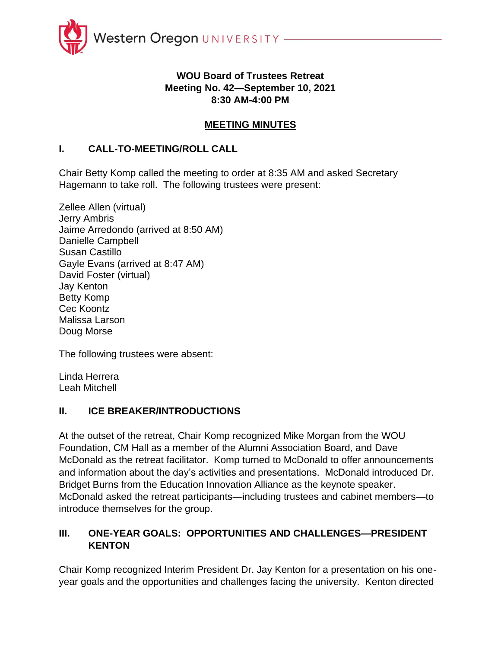

## **WOU Board of Trustees Retreat Meeting No. 42—September 10, 2021 8:30 AM-4:00 PM**

# **MEETING MINUTES**

#### **I. CALL-TO-MEETING/ROLL CALL**

Chair Betty Komp called the meeting to order at 8:35 AM and asked Secretary Hagemann to take roll. The following trustees were present:

Zellee Allen (virtual) Jerry Ambris Jaime Arredondo (arrived at 8:50 AM) Danielle Campbell Susan Castillo Gayle Evans (arrived at 8:47 AM) David Foster (virtual) Jay Kenton Betty Komp Cec Koontz Malissa Larson Doug Morse

The following trustees were absent:

Linda Herrera Leah Mitchell

#### **II. ICE BREAKER/INTRODUCTIONS**

At the outset of the retreat, Chair Komp recognized Mike Morgan from the WOU Foundation, CM Hall as a member of the Alumni Association Board, and Dave McDonald as the retreat facilitator. Komp turned to McDonald to offer announcements and information about the day's activities and presentations. McDonald introduced Dr. Bridget Burns from the Education Innovation Alliance as the keynote speaker. McDonald asked the retreat participants—including trustees and cabinet members—to introduce themselves for the group.

## **III. ONE-YEAR GOALS: OPPORTUNITIES AND CHALLENGES—PRESIDENT KENTON**

Chair Komp recognized Interim President Dr. Jay Kenton for a presentation on his oneyear goals and the opportunities and challenges facing the university. Kenton directed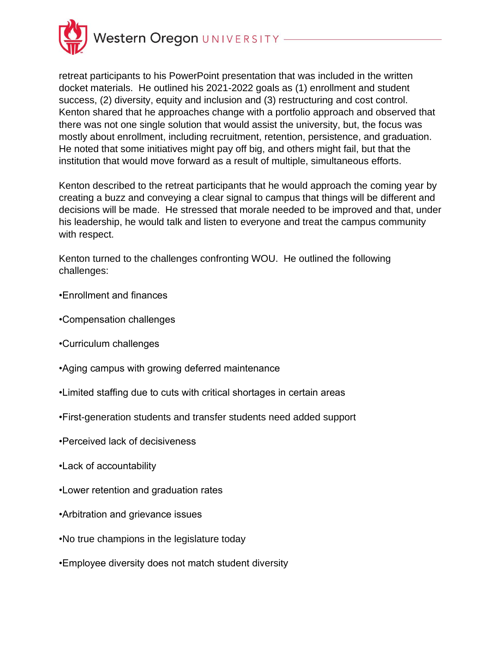

retreat participants to his PowerPoint presentation that was included in the written docket materials. He outlined his 2021-2022 goals as (1) enrollment and student success, (2) diversity, equity and inclusion and (3) restructuring and cost control. Kenton shared that he approaches change with a portfolio approach and observed that there was not one single solution that would assist the university, but, the focus was mostly about enrollment, including recruitment, retention, persistence, and graduation. He noted that some initiatives might pay off big, and others might fail, but that the institution that would move forward as a result of multiple, simultaneous efforts.

Kenton described to the retreat participants that he would approach the coming year by creating a buzz and conveying a clear signal to campus that things will be different and decisions will be made. He stressed that morale needed to be improved and that, under his leadership, he would talk and listen to everyone and treat the campus community with respect.

Kenton turned to the challenges confronting WOU. He outlined the following challenges:

- •Enrollment and finances
- •Compensation challenges
- •Curriculum challenges
- •Aging campus with growing deferred maintenance
- •Limited staffing due to cuts with critical shortages in certain areas
- •First-generation students and transfer students need added support
- •Perceived lack of decisiveness
- •Lack of accountability
- •Lower retention and graduation rates
- •Arbitration and grievance issues
- •No true champions in the legislature today
- •Employee diversity does not match student diversity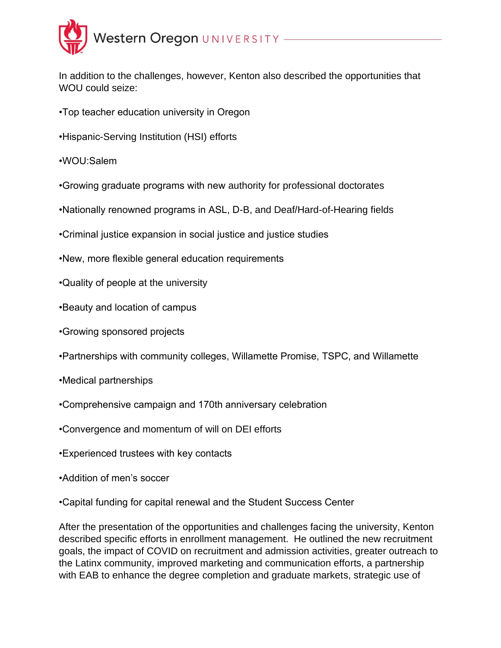

In addition to the challenges, however, Kenton also described the opportunities that WOU could seize:

- •Top teacher education university in Oregon
- •Hispanic-Serving Institution (HSI) efforts
- •WOU:Salem
- •Growing graduate programs with new authority for professional doctorates
- •Nationally renowned programs in ASL, D-B, and Deaf/Hard-of-Hearing fields
- •Criminal justice expansion in social justice and justice studies
- •New, more flexible general education requirements
- •Quality of people at the university
- •Beauty and location of campus
- •Growing sponsored projects
- •Partnerships with community colleges, Willamette Promise, TSPC, and Willamette
- •Medical partnerships
- •Comprehensive campaign and 170th anniversary celebration
- •Convergence and momentum of will on DEI efforts
- •Experienced trustees with key contacts
- •Addition of men's soccer
- •Capital funding for capital renewal and the Student Success Center

After the presentation of the opportunities and challenges facing the university, Kenton described specific efforts in enrollment management. He outlined the new recruitment goals, the impact of COVID on recruitment and admission activities, greater outreach to the Latinx community, improved marketing and communication efforts, a partnership with EAB to enhance the degree completion and graduate markets, strategic use of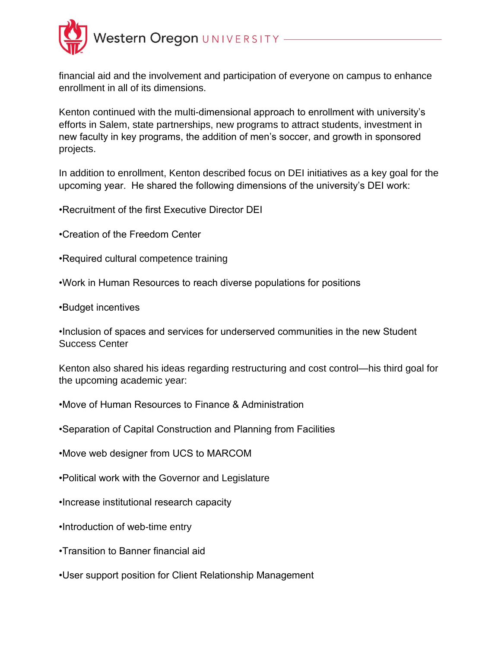

financial aid and the involvement and participation of everyone on campus to enhance enrollment in all of its dimensions.

Kenton continued with the multi-dimensional approach to enrollment with university's efforts in Salem, state partnerships, new programs to attract students, investment in new faculty in key programs, the addition of men's soccer, and growth in sponsored projects.

In addition to enrollment, Kenton described focus on DEI initiatives as a key goal for the upcoming year. He shared the following dimensions of the university's DEI work:

•Recruitment of the first Executive Director DEI

- •Creation of the Freedom Center
- •Required cultural competence training
- •Work in Human Resources to reach diverse populations for positions
- •Budget incentives

•Inclusion of spaces and services for underserved communities in the new Student Success Center

Kenton also shared his ideas regarding restructuring and cost control—his third goal for the upcoming academic year:

- •Move of Human Resources to Finance & Administration
- •Separation of Capital Construction and Planning from Facilities
- •Move web designer from UCS to MARCOM
- •Political work with the Governor and Legislature
- •Increase institutional research capacity
- •Introduction of web-time entry
- •Transition to Banner financial aid
- •User support position for Client Relationship Management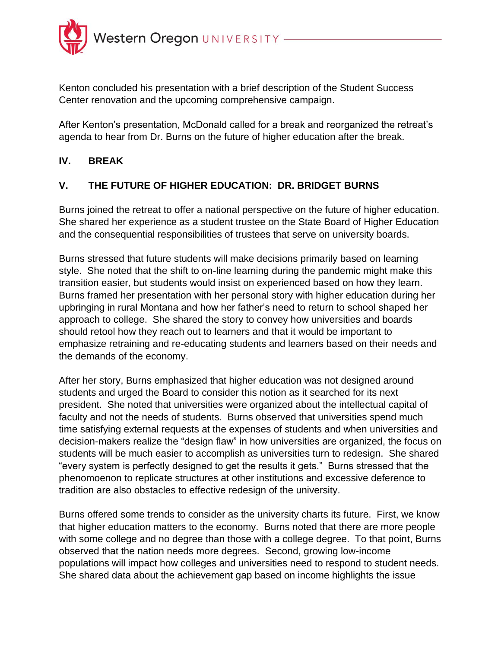

Kenton concluded his presentation with a brief description of the Student Success Center renovation and the upcoming comprehensive campaign.

After Kenton's presentation, McDonald called for a break and reorganized the retreat's agenda to hear from Dr. Burns on the future of higher education after the break.

#### **IV. BREAK**

## **V. THE FUTURE OF HIGHER EDUCATION: DR. BRIDGET BURNS**

Burns joined the retreat to offer a national perspective on the future of higher education. She shared her experience as a student trustee on the State Board of Higher Education and the consequential responsibilities of trustees that serve on university boards.

Burns stressed that future students will make decisions primarily based on learning style. She noted that the shift to on-line learning during the pandemic might make this transition easier, but students would insist on experienced based on how they learn. Burns framed her presentation with her personal story with higher education during her upbringing in rural Montana and how her father's need to return to school shaped her approach to college. She shared the story to convey how universities and boards should retool how they reach out to learners and that it would be important to emphasize retraining and re-educating students and learners based on their needs and the demands of the economy.

After her story, Burns emphasized that higher education was not designed around students and urged the Board to consider this notion as it searched for its next president. She noted that universities were organized about the intellectual capital of faculty and not the needs of students. Burns observed that universities spend much time satisfying external requests at the expenses of students and when universities and decision-makers realize the "design flaw" in how universities are organized, the focus on students will be much easier to accomplish as universities turn to redesign. She shared "every system is perfectly designed to get the results it gets." Burns stressed that the phenomoenon to replicate structures at other institutions and excessive deference to tradition are also obstacles to effective redesign of the university.

Burns offered some trends to consider as the university charts its future. First, we know that higher education matters to the economy. Burns noted that there are more people with some college and no degree than those with a college degree. To that point, Burns observed that the nation needs more degrees. Second, growing low-income populations will impact how colleges and universities need to respond to student needs. She shared data about the achievement gap based on income highlights the issue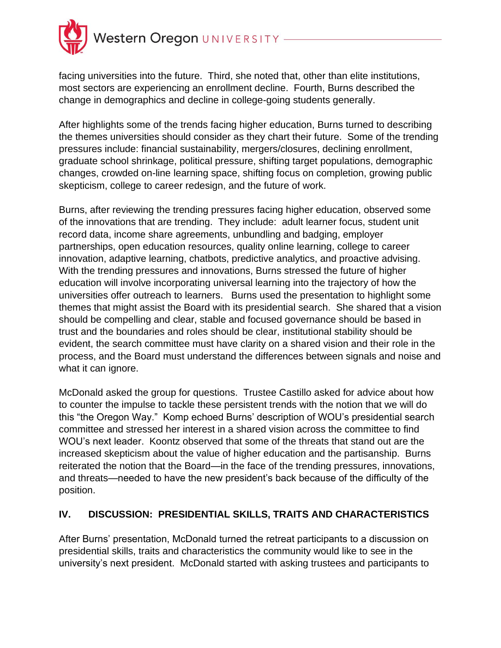

facing universities into the future. Third, she noted that, other than elite institutions, most sectors are experiencing an enrollment decline. Fourth, Burns described the change in demographics and decline in college-going students generally.

After highlights some of the trends facing higher education, Burns turned to describing the themes universities should consider as they chart their future. Some of the trending pressures include: financial sustainability, mergers/closures, declining enrollment, graduate school shrinkage, political pressure, shifting target populations, demographic changes, crowded on-line learning space, shifting focus on completion, growing public skepticism, college to career redesign, and the future of work.

Burns, after reviewing the trending pressures facing higher education, observed some of the innovations that are trending. They include: adult learner focus, student unit record data, income share agreements, unbundling and badging, employer partnerships, open education resources, quality online learning, college to career innovation, adaptive learning, chatbots, predictive analytics, and proactive advising. With the trending pressures and innovations, Burns stressed the future of higher education will involve incorporating universal learning into the trajectory of how the universities offer outreach to learners. Burns used the presentation to highlight some themes that might assist the Board with its presidential search. She shared that a vision should be compelling and clear, stable and focused governance should be based in trust and the boundaries and roles should be clear, institutional stability should be evident, the search committee must have clarity on a shared vision and their role in the process, and the Board must understand the differences between signals and noise and what it can ignore.

McDonald asked the group for questions. Trustee Castillo asked for advice about how to counter the impulse to tackle these persistent trends with the notion that we will do this "the Oregon Way." Komp echoed Burns' description of WOU's presidential search committee and stressed her interest in a shared vision across the committee to find WOU's next leader. Koontz observed that some of the threats that stand out are the increased skepticism about the value of higher education and the partisanship. Burns reiterated the notion that the Board—in the face of the trending pressures, innovations, and threats—needed to have the new president's back because of the difficulty of the position.

#### **IV. DISCUSSION: PRESIDENTIAL SKILLS, TRAITS AND CHARACTERISTICS**

After Burns' presentation, McDonald turned the retreat participants to a discussion on presidential skills, traits and characteristics the community would like to see in the university's next president. McDonald started with asking trustees and participants to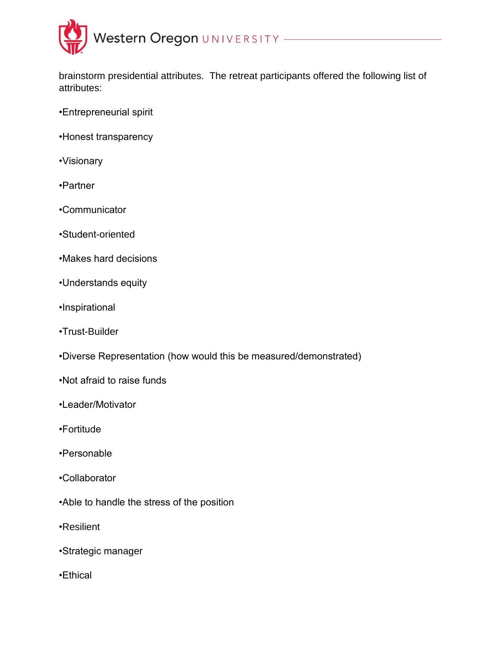

brainstorm presidential attributes. The retreat participants offered the following list of attributes:

- •Entrepreneurial spirit
- •Honest transparency
- •Visionary
- •Partner
- •Communicator
- •Student-oriented
- •Makes hard decisions
- •Understands equity
- •Inspirational
- •Trust-Builder
- •Diverse Representation (how would this be measured/demonstrated)
- •Not afraid to raise funds
- •Leader/Motivator
- •Fortitude
- •Personable
- •Collaborator
- •Able to handle the stress of the position
- •Resilient
- •Strategic manager
- •Ethical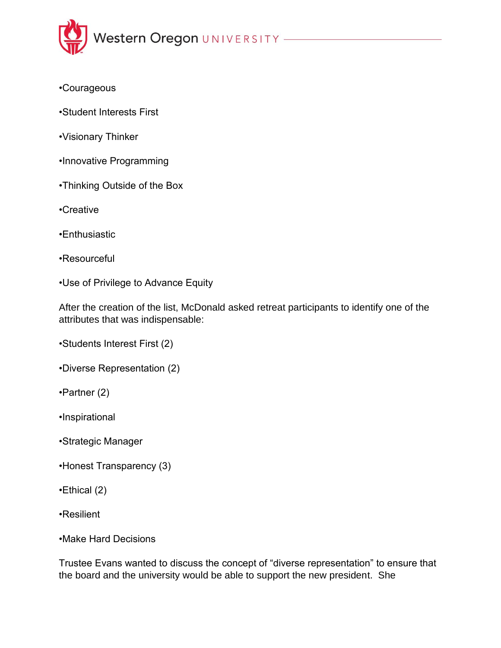

- •Courageous
- •Student Interests First
- •Visionary Thinker
- •Innovative Programming
- •Thinking Outside of the Box
- •Creative
- •Enthusiastic
- •Resourceful
- •Use of Privilege to Advance Equity

After the creation of the list, McDonald asked retreat participants to identify one of the attributes that was indispensable:

•Students Interest First (2)

- •Diverse Representation (2)
- •Partner (2)
- •Inspirational
- •Strategic Manager
- •Honest Transparency (3)
- •Ethical (2)
- •Resilient
- •Make Hard Decisions

Trustee Evans wanted to discuss the concept of "diverse representation" to ensure that the board and the university would be able to support the new president. She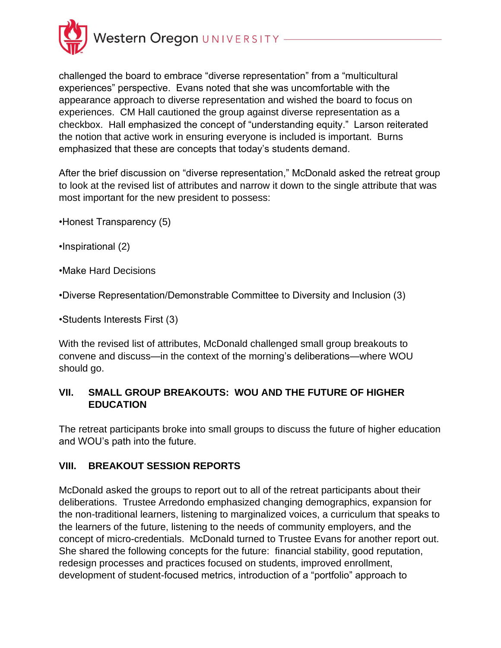

challenged the board to embrace "diverse representation" from a "multicultural experiences" perspective. Evans noted that she was uncomfortable with the appearance approach to diverse representation and wished the board to focus on experiences. CM Hall cautioned the group against diverse representation as a checkbox. Hall emphasized the concept of "understanding equity." Larson reiterated the notion that active work in ensuring everyone is included is important. Burns emphasized that these are concepts that today's students demand.

After the brief discussion on "diverse representation," McDonald asked the retreat group to look at the revised list of attributes and narrow it down to the single attribute that was most important for the new president to possess:

•Honest Transparency (5)

•Inspirational (2)

•Make Hard Decisions

•Diverse Representation/Demonstrable Committee to Diversity and Inclusion (3)

•Students Interests First (3)

With the revised list of attributes, McDonald challenged small group breakouts to convene and discuss—in the context of the morning's deliberations—where WOU should go.

#### **VII. SMALL GROUP BREAKOUTS: WOU AND THE FUTURE OF HIGHER EDUCATION**

The retreat participants broke into small groups to discuss the future of higher education and WOU's path into the future.

#### **VIII. BREAKOUT SESSION REPORTS**

McDonald asked the groups to report out to all of the retreat participants about their deliberations. Trustee Arredondo emphasized changing demographics, expansion for the non-traditional learners, listening to marginalized voices, a curriculum that speaks to the learners of the future, listening to the needs of community employers, and the concept of micro-credentials. McDonald turned to Trustee Evans for another report out. She shared the following concepts for the future: financial stability, good reputation, redesign processes and practices focused on students, improved enrollment, development of student-focused metrics, introduction of a "portfolio" approach to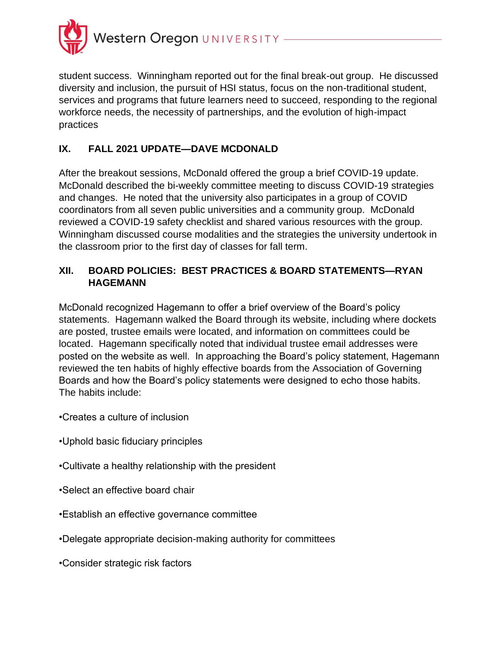

student success. Winningham reported out for the final break-out group. He discussed diversity and inclusion, the pursuit of HSI status, focus on the non-traditional student, services and programs that future learners need to succeed, responding to the regional workforce needs, the necessity of partnerships, and the evolution of high-impact practices

# **IX. FALL 2021 UPDATE—DAVE MCDONALD**

After the breakout sessions, McDonald offered the group a brief COVID-19 update. McDonald described the bi-weekly committee meeting to discuss COVID-19 strategies and changes. He noted that the university also participates in a group of COVID coordinators from all seven public universities and a community group. McDonald reviewed a COVID-19 safety checklist and shared various resources with the group. Winningham discussed course modalities and the strategies the university undertook in the classroom prior to the first day of classes for fall term.

# **XII. BOARD POLICIES: BEST PRACTICES & BOARD STATEMENTS—RYAN HAGEMANN**

McDonald recognized Hagemann to offer a brief overview of the Board's policy statements. Hagemann walked the Board through its website, including where dockets are posted, trustee emails were located, and information on committees could be located. Hagemann specifically noted that individual trustee email addresses were posted on the website as well. In approaching the Board's policy statement, Hagemann reviewed the ten habits of highly effective boards from the Association of Governing Boards and how the Board's policy statements were designed to echo those habits. The habits include:

- •Creates a culture of inclusion
- •Uphold basic fiduciary principles
- •Cultivate a healthy relationship with the president
- •Select an effective board chair
- •Establish an effective governance committee
- •Delegate appropriate decision-making authority for committees
- •Consider strategic risk factors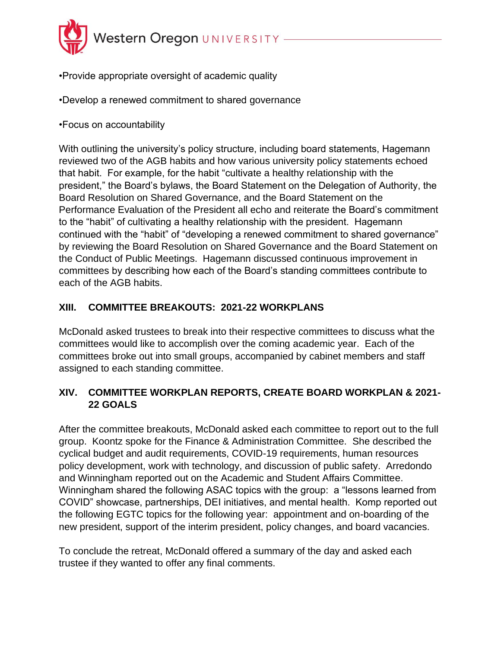

- •Provide appropriate oversight of academic quality
- •Develop a renewed commitment to shared governance
- •Focus on accountability

With outlining the university's policy structure, including board statements, Hagemann reviewed two of the AGB habits and how various university policy statements echoed that habit. For example, for the habit "cultivate a healthy relationship with the president," the Board's bylaws, the Board Statement on the Delegation of Authority, the Board Resolution on Shared Governance, and the Board Statement on the Performance Evaluation of the President all echo and reiterate the Board's commitment to the "habit" of cultivating a healthy relationship with the president. Hagemann continued with the "habit" of "developing a renewed commitment to shared governance" by reviewing the Board Resolution on Shared Governance and the Board Statement on the Conduct of Public Meetings. Hagemann discussed continuous improvement in committees by describing how each of the Board's standing committees contribute to each of the AGB habits.

## **XIII. COMMITTEE BREAKOUTS: 2021-22 WORKPLANS**

McDonald asked trustees to break into their respective committees to discuss what the committees would like to accomplish over the coming academic year. Each of the committees broke out into small groups, accompanied by cabinet members and staff assigned to each standing committee.

#### **XIV. COMMITTEE WORKPLAN REPORTS, CREATE BOARD WORKPLAN & 2021- 22 GOALS**

After the committee breakouts, McDonald asked each committee to report out to the full group. Koontz spoke for the Finance & Administration Committee. She described the cyclical budget and audit requirements, COVID-19 requirements, human resources policy development, work with technology, and discussion of public safety. Arredondo and Winningham reported out on the Academic and Student Affairs Committee. Winningham shared the following ASAC topics with the group: a "lessons learned from COVID" showcase, partnerships, DEI initiatives, and mental health. Komp reported out the following EGTC topics for the following year: appointment and on-boarding of the new president, support of the interim president, policy changes, and board vacancies.

To conclude the retreat, McDonald offered a summary of the day and asked each trustee if they wanted to offer any final comments.